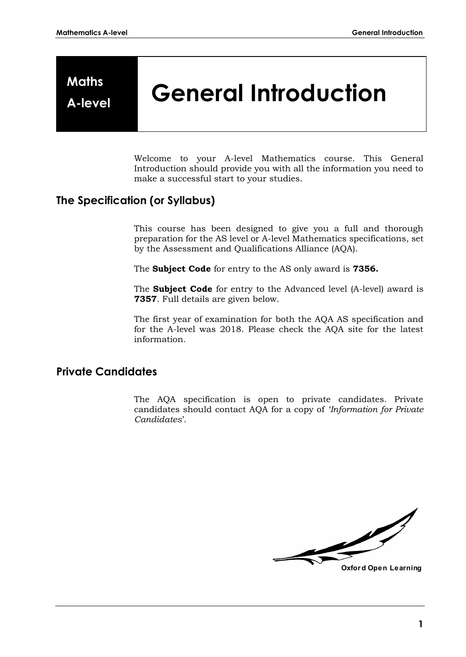# **Maths**

## **A-level General Introduction**

Welcome to your A-level Mathematics course. This General Introduction should provide you with all the information you need to make a successful start to your studies.

#### **The Specification (or Syllabus)**

This course has been designed to give you a full and thorough preparation for the AS level or A-level Mathematics specifications, set by the Assessment and Qualifications Alliance (AQA).

The **Subject Code** for entry to the AS only award is **7356.** 

The **Subject Code** for entry to the Advanced level (A-level) award is **7357**. Full details are given below.

The first year of examination for both the AQA AS specification and for the A-level was 2018. Please check the AQA site for the latest information.

#### **Private Candidates**

The AQA specification is open to private candidates. Private candidates should contact AQA for a copy of *'Information for Private Candidates*'.

**Oxfor d Open Learning**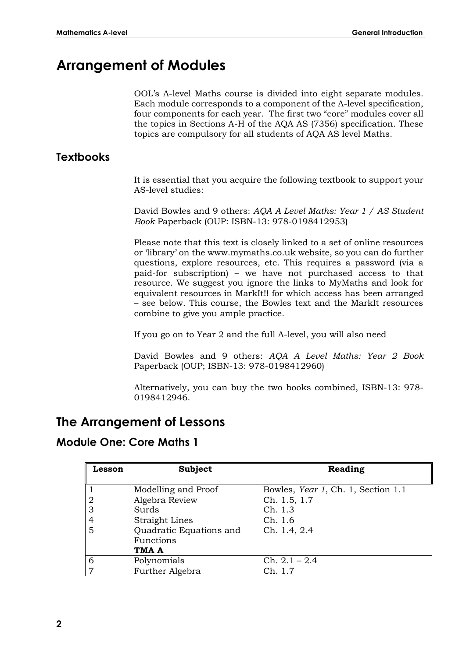## **Arrangement of Modules**

OOL's A-level Maths course is divided into eight separate modules. Each module corresponds to a component of the A-level specification, four components for each year. The first two "core" modules cover all the topics in Sections A-H of the AQA AS (7356) specification. These topics are compulsory for all students of AQA AS level Maths.

### **Textbooks**

It is essential that you acquire the following textbook to support your AS-level studies:

David Bowles and 9 others: *AQA A Level Maths: Year 1 / AS Student Book* Paperback (OUP: ISBN-13: 978-0198412953)

Please note that this text is closely linked to a set of online resources or 'library' on the www.mymaths.co.uk website, so you can do further questions, explore resources, etc. This requires a password (via a paid-for subscription) – we have not purchased access to that resource. We suggest you ignore the links to MyMaths and look for equivalent resources in MarkIt!! for which access has been arranged – see below. This course, the Bowles text and the MarkIt resources combine to give you ample practice.

If you go on to Year 2 and the full A-level, you will also need

David Bowles and 9 others: *AQA A Level Maths: Year 2 Book* Paperback (OUP; ISBN-13: 978-0198412960)

Alternatively, you can buy the two books combined, ISBN-13: 978- 0198412946.

## **The Arrangement of Lessons**

#### **Module One: Core Maths 1**

| Lesson | <b>Subject</b>          | Reading                            |
|--------|-------------------------|------------------------------------|
|        |                         |                                    |
|        | Modelling and Proof     | Bowles, Year 1, Ch. 1, Section 1.1 |
| 2      | Algebra Review          | Ch. 1.5, 1.7                       |
| 3      | Surds                   | Ch. 1.3                            |
| 4      | <b>Straight Lines</b>   | Ch. 1.6                            |
| 5      | Quadratic Equations and | Ch. 1.4, 2.4                       |
|        | Functions               |                                    |
|        | TMA A                   |                                    |
| 6      | Polynomials             | $Ch. 2.1 - 2.4$                    |
|        | Further Algebra         | Ch. 1.7                            |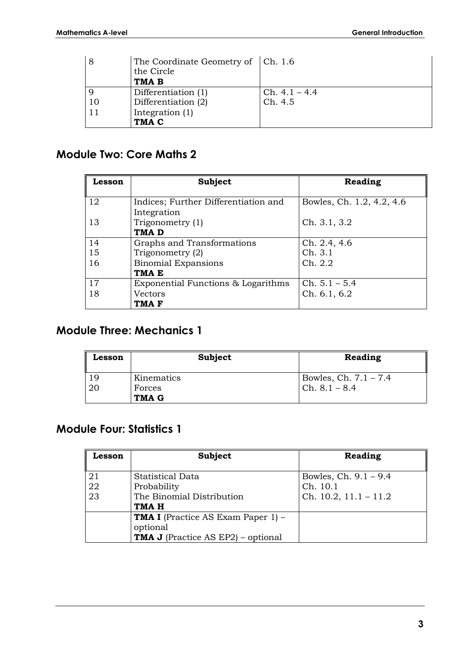| 8  | The Coordinate Geometry of $ Ch. 1.6$<br>the Circle |                 |
|----|-----------------------------------------------------|-----------------|
|    | TMA B                                               |                 |
|    | Differentiation (1)                                 | $Ch. 4.1 - 4.4$ |
| 10 | Differentiation (2)                                 | Ch. 4.5         |
| 11 | Integration (1)                                     |                 |
|    | TMA C                                               |                 |

## **Module Two: Core Maths 2**

| Lesson | Subject                                             | Reading                   |
|--------|-----------------------------------------------------|---------------------------|
| 12     | Indices; Further Differentiation and<br>Integration | Bowles, Ch. 1.2, 4.2, 4.6 |
| 13     | Trigonometry (1)<br>TMA <sub>D</sub>                | Ch. 3.1, 3.2              |
| 14     | Graphs and Transformations                          | Ch. 2.4, 4.6              |
| 15     | Trigonometry (2)                                    | Ch. 3.1                   |
| 16     | <b>Binomial Expansions</b>                          | Ch. 2.2                   |
|        | TMA <sub>E</sub>                                    |                           |
| 17     | Exponential Functions & Logarithms                  | $Ch. 5.1 - 5.4$           |
| 18     | Vectors                                             | Ch. 6.1, 6.2              |
|        | TMA F                                               |                           |

## **Module Three: Mechanics 1**

| Lesson | Subject      | Reading                 |
|--------|--------------|-------------------------|
| 19     | Kinematics   | Bowles, Ch. $7.1 - 7.4$ |
| 20     | Forces       | $Ch. 8.1 - 8.4$         |
|        | <b>TMA G</b> |                         |

## **Module Four: Statistics 1**

| Lesson         | Subject                                                                                            | Reading                                                           |
|----------------|----------------------------------------------------------------------------------------------------|-------------------------------------------------------------------|
| 21<br>22<br>23 | Statistical Data<br>Probability<br>The Binomial Distribution<br>TMA H                              | Bowles, Ch. $9.1 - 9.4$<br>Ch. 10.1<br>Ch. $10.2$ , $11.1 - 11.2$ |
|                | <b>TMA I</b> (Practice AS Exam Paper 1) -<br>optional<br><b>TMA J</b> (Practice AS EP2) – optional |                                                                   |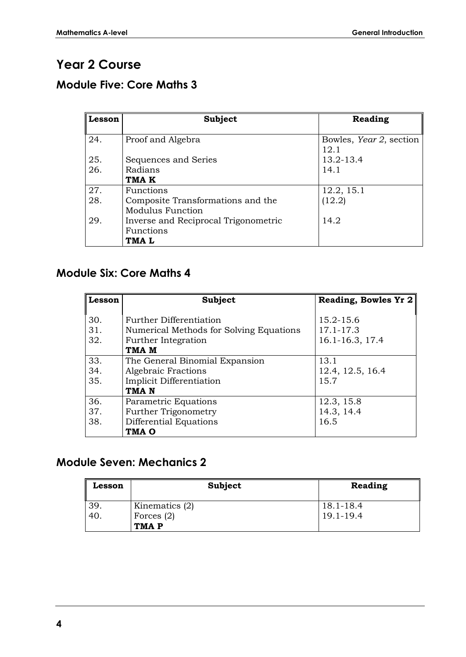## **Year 2 Course**

## **Module Five: Core Maths 3**

| Lesson | <b>Subject</b>                       | Reading                         |
|--------|--------------------------------------|---------------------------------|
| 24.    | Proof and Algebra                    | Bowles, Year 2, section<br>12.1 |
| 25.    | Sequences and Series                 | 13.2-13.4                       |
| 26.    | Radians                              | 14.1                            |
|        | TMA K                                |                                 |
| 27.    | Functions                            | 12.2, 15.1                      |
| 28.    | Composite Transformations and the    | (12.2)                          |
|        | <b>Modulus Function</b>              |                                 |
| 29.    | Inverse and Reciprocal Trigonometric | 14.2                            |
|        | Functions                            |                                 |
|        | TMA L                                |                                 |

## **Module Six: Core Maths 4**

| Lesson | <b>Subject</b>                          | Reading, Bowles Yr 2 |
|--------|-----------------------------------------|----------------------|
|        |                                         |                      |
| 30.    | Further Differentiation                 | 15.2-15.6            |
| 31.    | Numerical Methods for Solving Equations | $17.1 - 17.3$        |
| 32.    | Further Integration                     | 16.1-16.3, 17.4      |
|        | TMA M                                   |                      |
| 33.    | The General Binomial Expansion          | 13.1                 |
| 34.    | <b>Algebraic Fractions</b>              | 12.4, 12.5, 16.4     |
| 35.    | Implicit Differentiation                | 15.7                 |
|        | TMA <sub>N</sub>                        |                      |
| 36.    | Parametric Equations                    | 12.3, 15.8           |
| 37.    | Further Trigonometry                    | 14.3, 14.4           |
| 38.    | Differential Equations                  | 16.5                 |
|        | TMA O                                   |                      |

## **Module Seven: Mechanics 2**

| Lesson | Subject          | Reading   |
|--------|------------------|-----------|
| 39.    | Kinematics $(2)$ | 18.1-18.4 |
| 40     | Forces $(2)$     | 19.1-19.4 |
|        | TMA P            |           |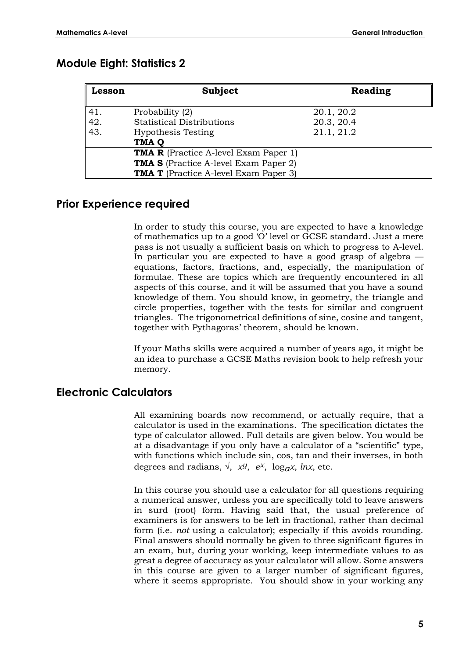## **Module Eight: Statistics 2**

| Lesson | Subject                                      | Reading    |
|--------|----------------------------------------------|------------|
| 41.    | Probability (2)                              | 20.1, 20.2 |
| 42.    | <b>Statistical Distributions</b>             | 20.3, 20.4 |
| 43.    | <b>Hypothesis Testing</b>                    | 21.1, 21.2 |
|        | TMA <sub>Q</sub>                             |            |
|        | <b>TMA R</b> (Practice A-level Exam Paper 1) |            |
|        | <b>TMA S</b> (Practice A-level Exam Paper 2) |            |
|        | <b>TMA T</b> (Practice A-level Exam Paper 3) |            |

#### **Prior Experience required**

In order to study this course, you are expected to have a knowledge of mathematics up to a good 'O' level or GCSE standard. Just a mere pass is not usually a sufficient basis on which to progress to A-level. In particular you are expected to have a good grasp of algebra equations, factors, fractions, and, especially, the manipulation of formulae. These are topics which are frequently encountered in all aspects of this course, and it will be assumed that you have a sound knowledge of them. You should know, in geometry, the triangle and circle properties, together with the tests for similar and congruent triangles. The trigonometrical definitions of sine, cosine and tangent, together with Pythagoras' theorem, should be known.

If your Maths skills were acquired a number of years ago, it might be an idea to purchase a GCSE Maths revision book to help refresh your memory.

#### **Electronic Calculators**

All examining boards now recommend, or actually require, that a calculator is used in the examinations. The specification dictates the type of calculator allowed. Full details are given below. You would be at a disadvantage if you only have a calculator of a "scientific" type, with functions which include sin, cos, tan and their inverses, in both degrees and radians,  $\sqrt{x}$ ,  $x^y$ ,  $e^x$ ,  $\log_a x$ ,  $\ln x$ , etc.

In this course you should use a calculator for all questions requiring a numerical answer, unless you are specifically told to leave answers in surd (root) form. Having said that, the usual preference of examiners is for answers to be left in fractional, rather than decimal form (i.e. *not* using a calculator); especially if this avoids rounding. Final answers should normally be given to three significant figures in an exam, but, during your working, keep intermediate values to as great a degree of accuracy as your calculator will allow. Some answers in this course are given to a larger number of significant figures, where it seems appropriate. You should show in your working any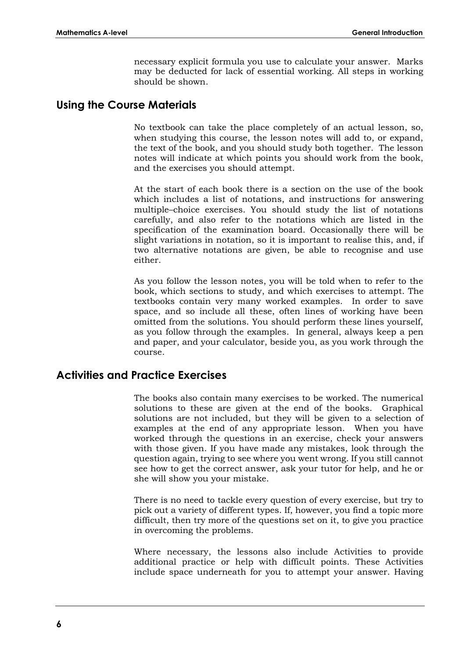necessary explicit formula you use to calculate your answer. Marks may be deducted for lack of essential working. All steps in working should be shown.

#### **Using the Course Materials**

No textbook can take the place completely of an actual lesson, so, when studying this course, the lesson notes will add to, or expand, the text of the book, and you should study both together. The lesson notes will indicate at which points you should work from the book, and the exercises you should attempt.

At the start of each book there is a section on the use of the book which includes a list of notations, and instructions for answering multiple–choice exercises. You should study the list of notations carefully, and also refer to the notations which are listed in the specification of the examination board. Occasionally there will be slight variations in notation, so it is important to realise this, and, if two alternative notations are given, be able to recognise and use either.

As you follow the lesson notes, you will be told when to refer to the book, which sections to study, and which exercises to attempt. The textbooks contain very many worked examples. In order to save space, and so include all these, often lines of working have been omitted from the solutions. You should perform these lines yourself, as you follow through the examples. In general, always keep a pen and paper, and your calculator, beside you, as you work through the course.

#### **Activities and Practice Exercises**

The books also contain many exercises to be worked. The numerical solutions to these are given at the end of the books. Graphical solutions are not included, but they will be given to a selection of examples at the end of any appropriate lesson. When you have worked through the questions in an exercise, check your answers with those given. If you have made any mistakes, look through the question again, trying to see where you went wrong. If you still cannot see how to get the correct answer, ask your tutor for help, and he or she will show you your mistake.

There is no need to tackle every question of every exercise, but try to pick out a variety of different types. If, however, you find a topic more difficult, then try more of the questions set on it, to give you practice in overcoming the problems.

Where necessary, the lessons also include Activities to provide additional practice or help with difficult points. These Activities include space underneath for you to attempt your answer. Having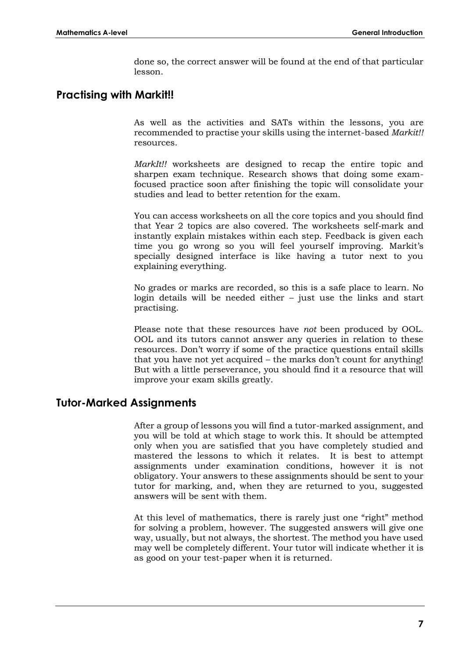done so, the correct answer will be found at the end of that particular lesson.

#### **Practising with Markit!!**

As well as the activities and SATs within the lessons, you are recommended to practise your skills using the internet-based *Markit!!* resources.

*MarkIt!!* worksheets are designed to recap the entire topic and sharpen exam technique. Research shows that doing some examfocused practice soon after finishing the topic will consolidate your studies and lead to better retention for the exam.

You can access worksheets on all the core topics and you should find that Year 2 topics are also covered. The worksheets self-mark and instantly explain mistakes within each step. Feedback is given each time you go wrong so you will feel yourself improving. Markit's specially designed interface is like having a tutor next to you explaining everything.

No grades or marks are recorded, so this is a safe place to learn. No login details will be needed either – just use the links and start practising.

Please note that these resources have *not* been produced by OOL. OOL and its tutors cannot answer any queries in relation to these resources. Don't worry if some of the practice questions entail skills that you have not yet acquired – the marks don't count for anything! But with a little perseverance, you should find it a resource that will improve your exam skills greatly.

#### **Tutor-Marked Assignments**

After a group of lessons you will find a tutor-marked assignment, and you will be told at which stage to work this. It should be attempted only when you are satisfied that you have completely studied and mastered the lessons to which it relates. It is best to attempt assignments under examination conditions, however it is not obligatory. Your answers to these assignments should be sent to your tutor for marking, and, when they are returned to you, suggested answers will be sent with them.

At this level of mathematics, there is rarely just one "right" method for solving a problem, however. The suggested answers will give one way, usually, but not always, the shortest. The method you have used may well be completely different. Your tutor will indicate whether it is as good on your test-paper when it is returned.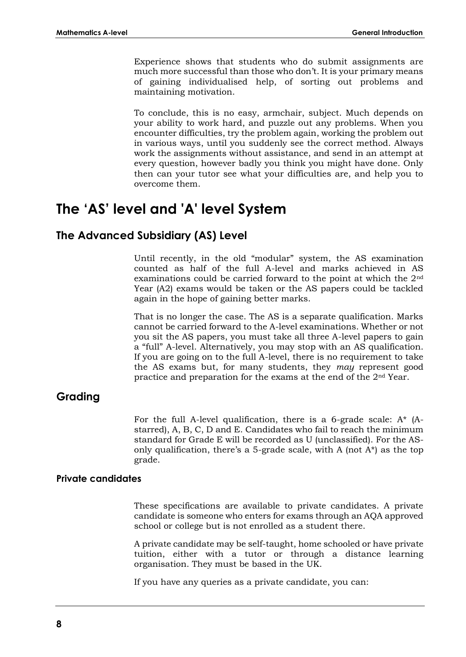Experience shows that students who do submit assignments are much more successful than those who don't. It is your primary means of gaining individualised help, of sorting out problems and maintaining motivation.

To conclude, this is no easy, armchair, subject. Much depends on your ability to work hard, and puzzle out any problems. When you encounter difficulties, try the problem again, working the problem out in various ways, until you suddenly see the correct method. Always work the assignments without assistance, and send in an attempt at every question, however badly you think you might have done. Only then can your tutor see what your difficulties are, and help you to overcome them.

## **The 'AS' level and 'A' level System**

#### **The Advanced Subsidiary (AS) Level**

Until recently, in the old "modular" system, the AS examination counted as half of the full A-level and marks achieved in AS examinations could be carried forward to the point at which the 2nd Year (A2) exams would be taken or the AS papers could be tackled again in the hope of gaining better marks.

That is no longer the case. The AS is a separate qualification. Marks cannot be carried forward to the A-level examinations. Whether or not you sit the AS papers, you must take all three A-level papers to gain a "full" A-level. Alternatively, you may stop with an AS qualification. If you are going on to the full A-level, there is no requirement to take the AS exams but, for many students, they *may* represent good practice and preparation for the exams at the end of the 2nd Year.

#### **Grading**

For the full A-level qualification, there is a 6-grade scale: A\* (Astarred), A, B, C, D and E. Candidates who fail to reach the minimum standard for Grade E will be recorded as U (unclassified). For the ASonly qualification, there's a 5-grade scale, with A (not  $A^*$ ) as the top grade.

#### **Private candidates**

These specifications are available to private candidates. A private candidate is someone who enters for exams through an AQA approved school or college but is not enrolled as a student there.

A private candidate may be self-taught, home schooled or have private tuition, either with a tutor or through a distance learning organisation. They must be based in the UK.

If you have any queries as a private candidate, you can: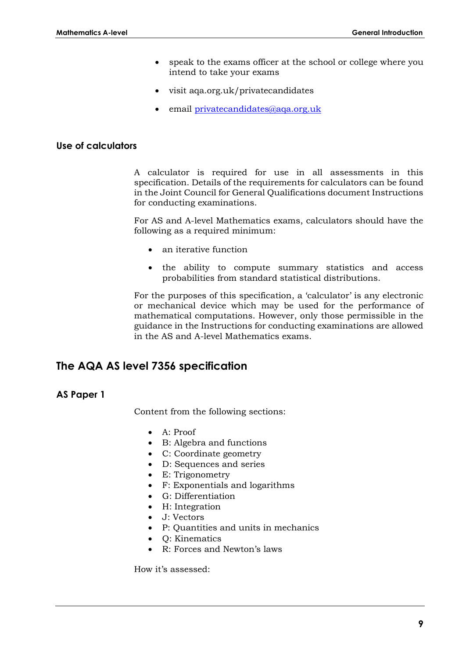- speak to the exams officer at the school or college where you intend to take your exams
- visit aqa.org.uk/privatecandidates
- email [privatecandidates@aqa.org.uk](mailto:privatecandidates@aqa.org.uk)

#### **Use of calculators**

A calculator is required for use in all assessments in this specification. Details of the requirements for calculators can be found in the Joint Council for General Qualifications document Instructions for conducting examinations.

For AS and A-level Mathematics exams, calculators should have the following as a required minimum:

- an iterative function
- the ability to compute summary statistics and access probabilities from standard statistical distributions.

For the purposes of this specification, a 'calculator' is any electronic or mechanical device which may be used for the performance of mathematical computations. However, only those permissible in the guidance in the Instructions for conducting examinations are allowed in the AS and A-level Mathematics exams.

#### **The AQA AS level 7356 specification**

#### **AS Paper 1**

Content from the following sections:

- A: Proof
- B: Algebra and functions
- C: Coordinate geometry
- D: Sequences and series
- E: Trigonometry
- F: Exponentials and logarithms
- G: Differentiation
- H: Integration
- J: Vectors
- P: Quantities and units in mechanics
- Q: Kinematics
- R: Forces and Newton's laws

How it's assessed: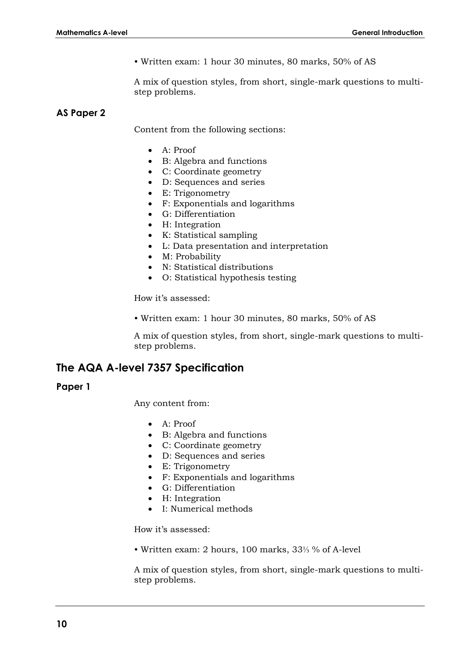• Written exam: 1 hour 30 minutes, 80 marks, 50% of AS

A mix of question styles, from short, single-mark questions to multistep problems.

#### **AS Paper 2**

Content from the following sections:

- A: Proof
- B: Algebra and functions
- C: Coordinate geometry
- D: Sequences and series
- E: Trigonometry
- F: Exponentials and logarithms
- G: Differentiation
- H: Integration
- K: Statistical sampling
- L: Data presentation and interpretation
- M: Probability
- N: Statistical distributions
- O: Statistical hypothesis testing

How it's assessed:

• Written exam: 1 hour 30 minutes, 80 marks, 50% of AS

A mix of question styles, from short, single-mark questions to multistep problems.

#### **The AQA A-level 7357 Specification**

#### **Paper 1**

Any content from:

- A: Proof
- B: Algebra and functions
- C: Coordinate geometry
- D: Sequences and series
- E: Trigonometry
- F: Exponentials and logarithms
- G: Differentiation
- H: Integration
- I: Numerical methods

How it's assessed:

• Written exam: 2 hours, 100 marks, 33⅓ % of A-level

A mix of question styles, from short, single-mark questions to multistep problems.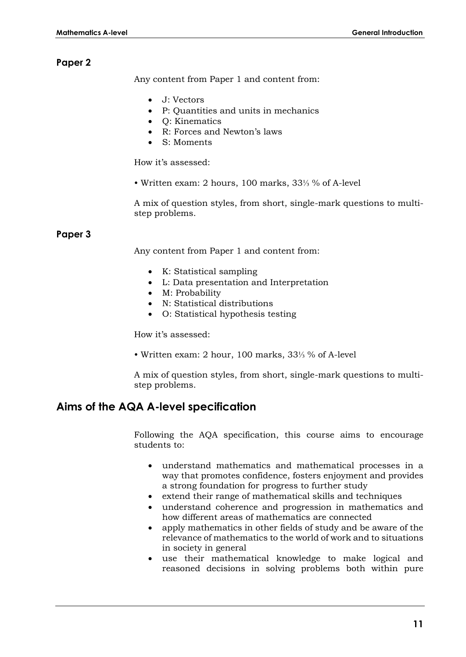#### **Paper 2**

Any content from Paper 1 and content from:

- J: Vectors
- P: Quantities and units in mechanics
- Q: Kinematics
- R: Forces and Newton's laws
- S: Moments

How it's assessed:

• Written exam: 2 hours, 100 marks, 33⅓ % of A-level

A mix of question styles, from short, single-mark questions to multistep problems.

#### **Paper 3**

Any content from Paper 1 and content from:

- K: Statistical sampling
- L: Data presentation and Interpretation
- M: Probability
- N: Statistical distributions
- O: Statistical hypothesis testing

How it's assessed:

• Written exam: 2 hour, 100 marks, 33⅓ % of A-level

A mix of question styles, from short, single-mark questions to multistep problems.

#### **Aims of the AQA A-level specification**

Following the AQA specification, this course aims to encourage students to:

- understand mathematics and mathematical processes in a way that promotes confidence, fosters enjoyment and provides a strong foundation for progress to further study
- extend their range of mathematical skills and techniques
- understand coherence and progression in mathematics and how different areas of mathematics are connected
- apply mathematics in other fields of study and be aware of the relevance of mathematics to the world of work and to situations in society in general
- use their mathematical knowledge to make logical and reasoned decisions in solving problems both within pure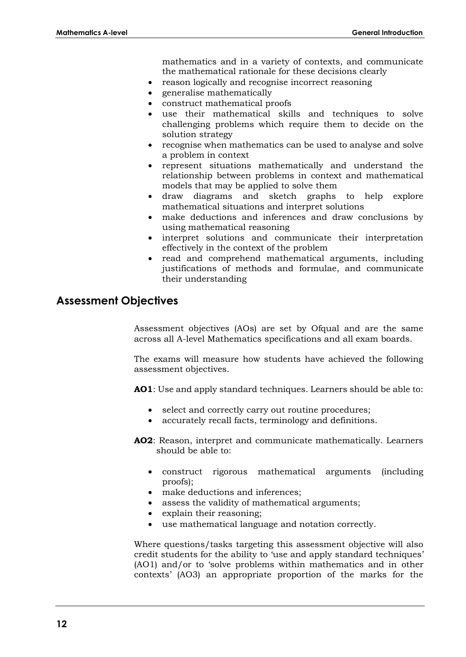mathematics and in a variety of contexts, and communicate the mathematical rationale for these decisions clearly

- reason logically and recognise incorrect reasoning
- generalise mathematically
- construct mathematical proofs
- use their mathematical skills and techniques to solve challenging problems which require them to decide on the solution strategy
- recognise when mathematics can be used to analyse and solve a problem in context
- represent situations mathematically and understand the relationship between problems in context and mathematical models that may be applied to solve them
- draw diagrams and sketch graphs to help explore mathematical situations and interpret solutions
- make deductions and inferences and draw conclusions by using mathematical reasoning
- interpret solutions and communicate their interpretation effectively in the context of the problem
- read and comprehend mathematical arguments, including justifications of methods and formulae, and communicate their understanding

#### **Assessment Objectives**

Assessment objectives (AOs) are set by Ofqual and are the same across all A-level Mathematics specifications and all exam boards.

The exams will measure how students have achieved the following assessment objectives.

**AO1**: Use and apply standard techniques. Learners should be able to:

- select and correctly carry out routine procedures;
- accurately recall facts, terminology and definitions.

**AO2**: Reason, interpret and communicate mathematically. Learners should be able to:

- construct rigorous mathematical arguments (including proofs);
- make deductions and inferences;
- assess the validity of mathematical arguments;
- explain their reasoning;
- use mathematical language and notation correctly.

Where questions/tasks targeting this assessment objective will also credit students for the ability to 'use and apply standard techniques' (AO1) and/or to 'solve problems within mathematics and in other contexts' (AO3) an appropriate proportion of the marks for the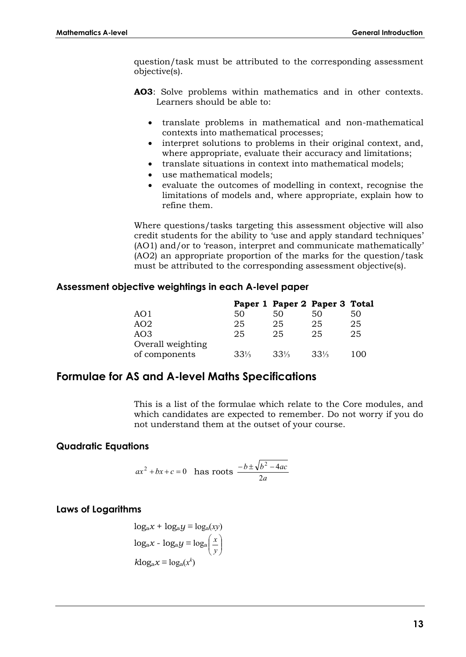question/task must be attributed to the corresponding assessment objective(s).

- **AO3**: Solve problems within mathematics and in other contexts. Learners should be able to:
	- translate problems in mathematical and non-mathematical contexts into mathematical processes;
	- interpret solutions to problems in their original context, and, where appropriate, evaluate their accuracy and limitations;
	- translate situations in context into mathematical models;
	- use mathematical models;
	- evaluate the outcomes of modelling in context, recognise the limitations of models and, where appropriate, explain how to refine them.

Where questions/tasks targeting this assessment objective will also credit students for the ability to 'use and apply standard techniques' (AO1) and/or to 'reason, interpret and communicate mathematically' (AO2) an appropriate proportion of the marks for the question/task must be attributed to the corresponding assessment objective(s).

#### **Assessment objective weightings in each A-level paper**

|                   |        | Paper 1 Paper 2 Paper 3 Total |        |     |
|-------------------|--------|-------------------------------|--------|-----|
| AO1               | 50     | 50                            | 50     | 50  |
| AO2               | 25     | 25                            | 25     | 25  |
| AO <sub>3</sub>   | 25     | 25                            | 25     | 25  |
| Overall weighting |        |                               |        |     |
| of components     | $33\%$ | $33\%$                        | $33\%$ | 100 |
|                   |        |                               |        |     |

#### **Formulae for AS and A-level Maths Specifications**

This is a list of the formulae which relate to the Core modules, and which candidates are expected to remember. Do not worry if you do not understand them at the outset of your course.

#### **Quadratic Equations**

$$
ax^2 + bx + c = 0
$$
 has roots  $\frac{-b \pm \sqrt{b^2 - 4ac}}{2a}$ 

#### **Laws of Logarithms**

$$
log_a x + log_a y \equiv log_a(xy)
$$

$$
log_a x - log_a y \equiv log_a \left(\frac{x}{y}\right)
$$

$$
klog_a x \equiv log_a(x^k)
$$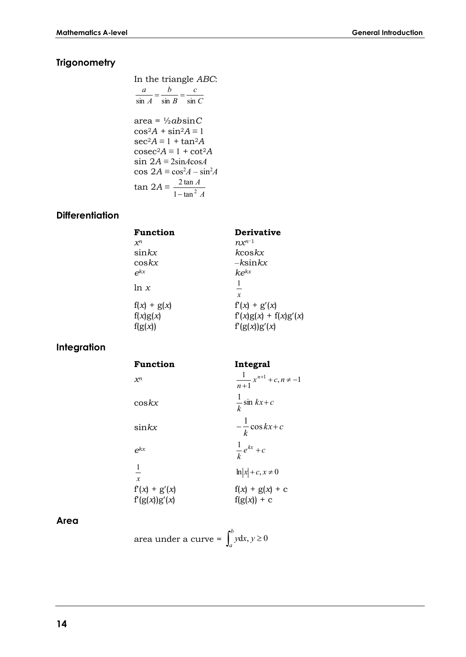### **Trigonometry**

In the triangle *ABC*:  
\n
$$
\frac{a}{\sin A} = \frac{b}{\sin B} = \frac{c}{\sin C}
$$
\narea =  $\frac{1}{2}ab\sin C$   
\ncos<sup>2</sup>A + sin<sup>2</sup>A = 1  
\nsec<sup>2</sup>A = 1 + tan<sup>2</sup>A  
\ncosec<sup>2</sup>A = 1 + cot<sup>2</sup>A  
\nsin 2A = 2sinAcosA  
\ncos 2A = cos<sup>2</sup>A - sin<sup>2</sup>A  
\ntan 2A =  $\frac{2 \tan A}{1 - \tan^2 A}$ 

#### **Differentiation**

| <b>Derivative</b>                        |
|------------------------------------------|
| $n x^{n-1}$                              |
| kcos kx                                  |
| $-k\text{sin}kx$                         |
| $k$ $e^{kx}$                             |
| $\mathfrak{X}$                           |
| $f'(x) + g'(x)$                          |
| $f'(x)g(x) + f(x)g'(x)$<br>f'(g(x))g'(x) |
|                                          |

## **Integration**

| Function                        | Integral                                       |
|---------------------------------|------------------------------------------------|
| $\mathcal{X}^n$                 | $\frac{1}{x^{n+1}} + c, n \neq -1$<br>$n+1$    |
| $\cos kx$                       | $\frac{1}{\pi}$ sin $kx+c$<br>$\boldsymbol{k}$ |
| $\sin kx$                       | $-\frac{1}{k}\cos kx+c$                        |
| $e^{kx}$                        | $\frac{1}{k}e^{kx}+c$                          |
| $\overline{1}$<br>$\mathcal{X}$ | $\ln  x  + c, x \neq 0$                        |
| $f'(x) + g'(x)$                 | $f(x) + g(x) + c$                              |
| f'(g(x))g'(x)                   | $f(g(x)) + c$                                  |

#### **Area**

| area under a curve = $\int_{a}^{b} y dx, y \ge 0$ |  |
|---------------------------------------------------|--|
|---------------------------------------------------|--|